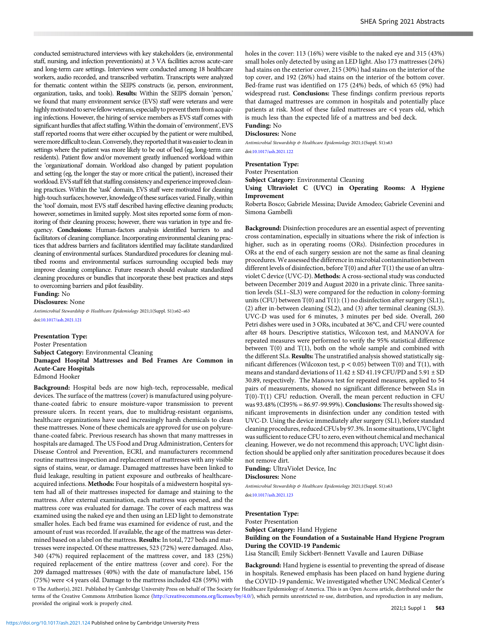conducted semistructured interviews with key stakeholders (ie, environmental staff, nursing, and infection preventionists) at 3 VA facilities across acute-care and long-term care settings. Interviews were conducted among 18 healthcare workers, audio recorded, and transcribed verbatim. Transcripts were analyzed for thematic content within the SEIPS constructs (ie, person, environment, organization, tasks, and tools). Results: Within the SEIPS domain 'person,' we found that many environment service (EVS) staff were veterans and were highly motivated to serve fellow veterans, especially to prevent them from acquiring infections. However, the hiring of service members as EVS staff comes with significant hurdles that affect staffing.Within the domain of 'environment', EVS staff reported rooms that were either occupied by the patient or were multibed, were more difficult to clean. Conversely, they reported that it was easier to clean in settings where the patient was more likely to be out of bed (eg, long-term care residents). Patient flow and/or movement greatly influenced workload within the 'organizational' domain. Workload also changed by patient population and setting (eg, the longer the stay or more critical the patient), increased their workload. EVS stafffelt that staffing consistency and experience improved cleaning practices. Within the 'task' domain, EVS staff were motivated for cleaning high-touch surfaces; however, knowledge of these surfaces varied. Finally, within the 'tool' domain, most EVS staff described having effective cleaning products; however, sometimes in limited supply. Most sites reported some form of monitoring of their cleaning process; however, there was variation in type and frequency. Conclusions: Human-factors analysis identified barriers to and facilitators of cleaning compliance. Incorporating environmental cleaning practices that address barriers and facilitators identified may facilitate standardized cleaning of environmental surfaces. Standardized procedures for cleaning multibed rooms and environmental surfaces surrounding occupied beds may improve cleaning compliance. Future research should evaluate standardized cleaning procedures or bundles that incorporate these best practices and steps to overcoming barriers and pilot feasibility.

Funding: No

Disclosures: None

Antimicrobial Stewardship & Healthcare Epidemiology 2021;1(Suppl. S1):s62-s63 doi:[10.1017/ash.2021.121](https://doi.org/10.1017/ash.2021.121)

Presentation Type: Poster Presentation Subject Category: Environmental Cleaning Damaged Hospital Mattresses and Bed Frames Are Common in Acute-Care Hospitals Edmond Hooker

Background: Hospital beds are now high-tech, reprocessable, medical devices. The surface of the mattress (cover) is manufactured using polyurethane-coated fabric to ensure moisture-vapor transmission to prevent pressure ulcers. In recent years, due to multidrug-resistant organisms, healthcare organizations have used increasingly harsh chemicals to clean these mattresses. None of these chemicals are approved for use on polyurethane-coated fabric. Previous research has shown that many mattresses in hospitals are damaged. The US Food and Drug Administration, Centers for Disease Control and Prevention, ECRI, and manufacturers recommend routine mattress inspection and replacement of mattresses with any visible signs of stains, wear, or damage. Damaged mattresses have been linked to fluid leakage, resulting in patient exposure and outbreaks of healthcareacquired infections. Methods: Four hospitals of a midwestern hospital system had all of their mattresses inspected for damage and staining to the mattress. After external examination, each mattress was opened, and the mattress core was evaluated for damage. The cover of each mattress was examined using the naked eye and then using an LED light to demonstrate smaller holes. Each bed frame was examined for evidence of rust, and the amount of rust was recorded. If available, the age of the mattress was determined based on a label on the mattress. Results: In total, 727 beds and mattresses were inspected. Of these mattresses, 523 (72%) were damaged. Also, 340 (47%) required replacement of the mattress cover, and 183 (25%) required replacement of the entire mattress (cover and core). For the 209 damaged mattresses (40%) with the date of manufacture label, 156 (75%) were <4 years old. Damage to the mattress included 428 (59%) with provided the original work is properly cited.

holes in the cover: 113 (16%) were visible to the naked eye and 315 (43%) small holes only detected by using an LED light. Also 173 mattresses (24%) had stains on the exterior cover, 215 (30%) had stains on the interior of the top cover, and 192 (26%) had stains on the interior of the bottom cover. Bed-frame rust was identified on 175 (24%) beds, of which 65 (9%) had widespread rust. Conclusions: These findings confirm previous reports that damaged mattresses are common in hospitals and potentially place patients at risk. Most of these failed mattresses are <4 years old, which is much less than the expected life of a mattress and bed deck.

## Funding: No Disclosures: None

Antimicrobial Stewardship & Healthcare Epidemiology 2021;1(Suppl. S1):s63

doi[:10.1017/ash.2021.122](https://doi.org/10.1017/ash.2021.122)

### Presentation Type:

Poster Presentation

Subject Category: Environmental Cleaning

Using Ultraviolet C (UVC) in Operating Rooms: A Hygiene Improvement

Roberta Bosco; Gabriele Messina; Davide Amodeo; Gabriele Cevenini and Simona Gambelli

Background: Disinfection procedures are an essential aspect of preventing cross contamination, especially in situations where the risk of infection is higher, such as in operating rooms (ORs). Disinfection procedures in ORs at the end of each surgery session are not the same as final cleaning procedures.We assessed the difference in microbial contamination between different levels of disinfection, before T(0) and after T(1) the use of an ultraviolet C device (UVC-D). Methods: A cross-sectional study was conducted between December 2019 and August 2020 in a private clinic. Three sanitation levels (SL1–SL3) were compared for the reduction in colony-forming units (CFU) between  $T(0)$  and  $T(1)$ : (1) no disinfection after surgery (SL1);, (2) after in-between cleaning (SL2), and (3) after terminal cleaning (SL3). UVC-D was used for 6 minutes, 3 minutes per bed side. Overall, 260 Petri dishes were used in 3 ORs, incubated at 36°C, and CFU were counted after 48 hours. Descriptive statistics, Wilcoxon test, and MANOVA for repeated measures were performed to verify the 95% statistical difference between T(0) and T(1), both on the whole sample and combined with the different SLs. Results: The unstratified analysis showed statistically significant differences (Wilcoxon test,  $p < 0.05$ ) between T(0) and T(1), with means and standard deviations of 11.42 ± SD 41.19 CFU/PD and 5.91 ± SD 30.89, respectively. The Manova test for repeated measures, applied to 54 pairs of measurements, showed no significant difference between SLs in T(0)-T(1) CFU reduction. Overall, the mean percent reduction in CFU was 93.48% (CI95% = 86.97-99.99%). **Conclusions:** The results showed significant improvements in disinfection under any condition tested with UVC-D. Using the device immediately after surgery (SL1), before standard cleaning procedures, reduced CFUs by 97.3%. In some situations, UVC light was sufficient to reduce CFU to zero, even without chemical and mechanical cleaning. However, we do not recommend this approach; UVC light disinfection should be applied only after sanitization procedures because it does not remove dirt.

Funding: UltraViolet Device, Inc

Disclosures: None

Antimicrobial Stewardship & Healthcare Epidemiology 2021;1(Suppl. S1):s63 doi:10.1017/ash.2021.123

## Presentation Type:

Poster Presentation Subject Category: Hand Hygiene Building on the Foundation of a Sustainable Hand Hygiene Program During the COVID-19 Pandemic

Lisa Stancill; Emily Sickbert-Bennett Vavalle and Lauren DiBiase

Background: Hand hygiene is essential to preventing the spread of disease in hospitals. Renewed emphasis has been placed on hand hygiene during the COVID-19 pandemic. We investigated whether UNC Medical Center's © The Author(s), 2021. Published by Cambridge University Press on behalf of The Society for Healthcare Epidemiology of America. This is an Open Access article, distributed under the terms of the Creative Commons Attribution licence (http://creativecommons.org/licenses/by/4.0/), which permits unrestricted re-use, distribution, and reproduction in any medium,